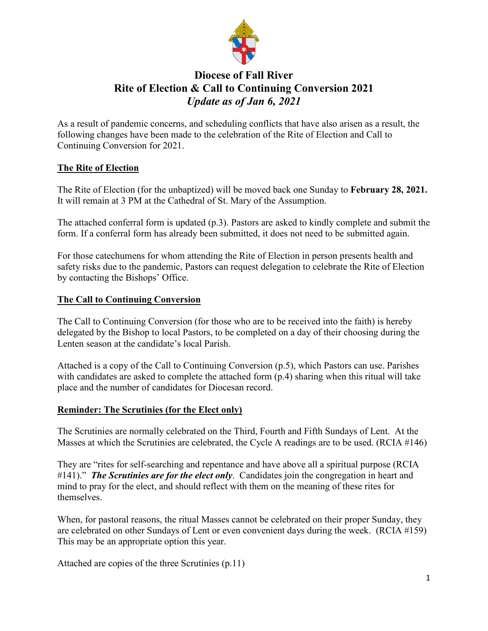

## **Diocese of Fall River Rite of Election & Call to Continuing Conversion 2021** *Update as of Jan 6, 2021*

As a result of pandemic concerns, and scheduling conflicts that have also arisen as a result, the following changes have been made to the celebration of the Rite of Election and Call to Continuing Conversion for 2021.

#### **The Rite of Election**

The Rite of Election (for the unbaptized) will be moved back one Sunday to **February 28, 2021.**  It will remain at 3 PM at the Cathedral of St. Mary of the Assumption.

The attached conferral form is updated (p.3). Pastors are asked to kindly complete and submit the form. If a conferral form has already been submitted, it does not need to be submitted again.

For those catechumens for whom attending the Rite of Election in person presents health and safety risks due to the pandemic, Pastors can request delegation to celebrate the Rite of Election by contacting the Bishops' Office.

#### **The Call to Continuing Conversion**

The Call to Continuing Conversion (for those who are to be received into the faith) is hereby delegated by the Bishop to local Pastors, to be completed on a day of their choosing during the Lenten season at the candidate's local Parish.

Attached is a copy of the Call to Continuing Conversion (p.5), which Pastors can use. Parishes with candidates are asked to complete the attached form  $(p.4)$  sharing when this ritual will take place and the number of candidates for Diocesan record.

#### **Reminder: The Scrutinies (for the Elect only)**

The Scrutinies are normally celebrated on the Third, Fourth and Fifth Sundays of Lent. At the Masses at which the Scrutinies are celebrated, the Cycle A readings are to be used. (RCIA #146)

They are "rites for self-searching and repentance and have above all a spiritual purpose (RCIA #141)." *The Scrutinies are for the elect only*. Candidates join the congregation in heart and mind to pray for the elect, and should reflect with them on the meaning of these rites for themselves.

When, for pastoral reasons, the ritual Masses cannot be celebrated on their proper Sunday, they are celebrated on other Sundays of Lent or even convenient days during the week. (RCIA #159) This may be an appropriate option this year.

Attached are copies of the three Scrutinies (p.11)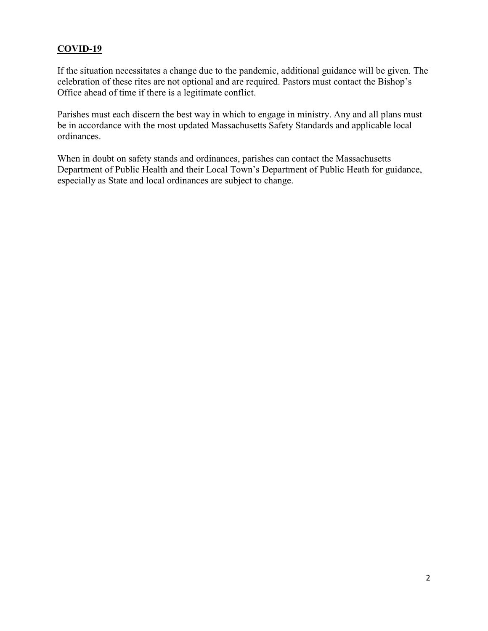#### **COVID-19**

If the situation necessitates a change due to the pandemic, additional guidance will be given. The celebration of these rites are not optional and are required. Pastors must contact the Bishop's Office ahead of time if there is a legitimate conflict.

Parishes must each discern the best way in which to engage in ministry. Any and all plans must be in accordance with the most updated Massachusetts Safety Standards and applicable local ordinances.

When in doubt on safety stands and ordinances, parishes can contact the Massachusetts Department of Public Health and their Local Town's Department of Public Heath for guidance, especially as State and local ordinances are subject to change.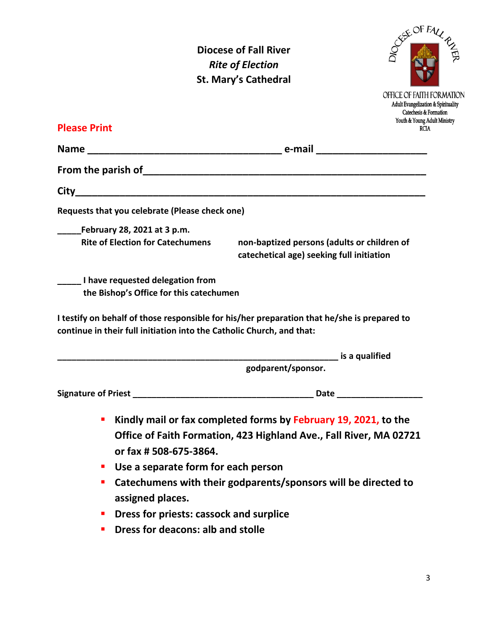**Diocese of Fall River** *Rite of Election*  **St. Mary's Cathedral**



| <b>Please Print</b>                                                                                                                                                         | TOULD & TOUNG.<br>RCI                                                                                                                                                                                   |  |  |
|-----------------------------------------------------------------------------------------------------------------------------------------------------------------------------|---------------------------------------------------------------------------------------------------------------------------------------------------------------------------------------------------------|--|--|
|                                                                                                                                                                             |                                                                                                                                                                                                         |  |  |
|                                                                                                                                                                             |                                                                                                                                                                                                         |  |  |
| <b>City</b>                                                                                                                                                                 |                                                                                                                                                                                                         |  |  |
| Requests that you celebrate (Please check one)                                                                                                                              |                                                                                                                                                                                                         |  |  |
| February 28, 2021 at 3 p.m.<br><b>Rite of Election for Catechumens</b>                                                                                                      | non-baptized persons (adults or children of<br>catechetical age) seeking full initiation                                                                                                                |  |  |
| I have requested delegation from<br>the Bishop's Office for this catechumen                                                                                                 |                                                                                                                                                                                                         |  |  |
| continue in their full initiation into the Catholic Church, and that:                                                                                                       | I testify on behalf of those responsible for his/her preparation that he/she is prepared to                                                                                                             |  |  |
|                                                                                                                                                                             | is a qualified<br>godparent/sponsor.                                                                                                                                                                    |  |  |
|                                                                                                                                                                             |                                                                                                                                                                                                         |  |  |
| п<br>or fax # 508-675-3864.<br>Use a separate form for each person<br>$\blacksquare$<br>$\blacksquare$<br>assigned places.<br>Dress for priests: cassock and surplice<br>a. | Kindly mail or fax completed forms by February 19, 2021, to the<br>Office of Faith Formation, 423 Highland Ave., Fall River, MA 02721<br>Catechumens with their godparents/sponsors will be directed to |  |  |
| Dress for deacons: alb and stolle<br>п                                                                                                                                      |                                                                                                                                                                                                         |  |  |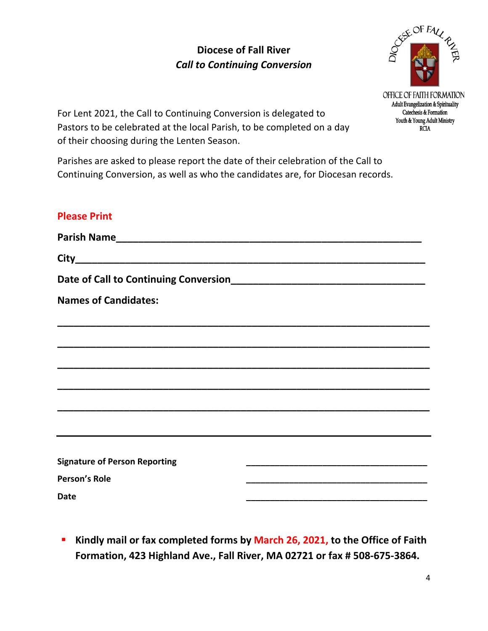## **Diocese of Fall River** *Call to Continuing Conversion*



For Lent 2021, the Call to Continuing Conversion is delegated to Pastors to be celebrated at the local Parish, to be completed on a day of their choosing during the Lenten Season.

Parishes are asked to please report the date of their celebration of the Call to Continuing Conversion, as well as who the candidates are, for Diocesan records.

## **Please Print**

| <b>Names of Candidates:</b>          |  |
|--------------------------------------|--|
|                                      |  |
|                                      |  |
|                                      |  |
|                                      |  |
|                                      |  |
|                                      |  |
|                                      |  |
| <b>Signature of Person Reporting</b> |  |
| <b>Person's Role</b>                 |  |
| Date                                 |  |

**Kindly mail or fax completed forms by March 26, 2021, to the Office of Faith Formation, 423 Highland Ave., Fall River, MA 02721 or fax # 508-675-3864.**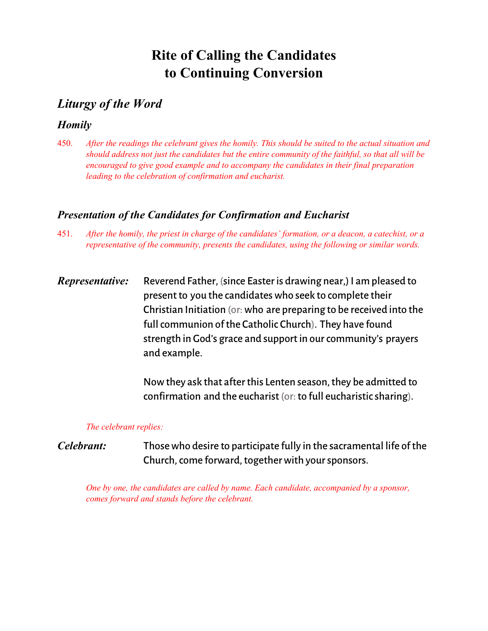# **Rite of Calling the Candidates to Continuing Conversion**

## *Liturgy of the Word*

## *Homily*

450. *After the readings the celebrant gives the homily. This should be suited to the actual situation and should address not just the candidates but the entire community of the faithful, so that all will be encouraged to give good example and to accompany the candidates in their final preparation leading to the celebration of confirmation and eucharist.*

#### *Presentation of the Candidates for Confirmation and Eucharist*

- 451. *After the homily, the priest in charge of the candidates' formation, or a deacon, a catechist, or a representative of the community, presents the candidates, using the following or similar words.*
- *Representative:* Reverend Father, (since Easter is drawing near,) I am pleased to present to you the candidates who seek to complete their Christian Initiation (or: who are preparing to be received into the full communion of the Catholic Church). They have found strength in God's grace and support in our community's prayers and example.

Now they ask that after this Lenten season, they be admitted to confirmation and the eucharist (or: to full eucharistic sharing).

#### *The celebrant replies:*

*Celebrant:* Those who desire to participate fully in the sacramental life of the Church, come forward, together with your sponsors.

*One by one, the candidates are called by name. Each candidate, accompanied by a sponsor, comes forward and stands before the celebrant.*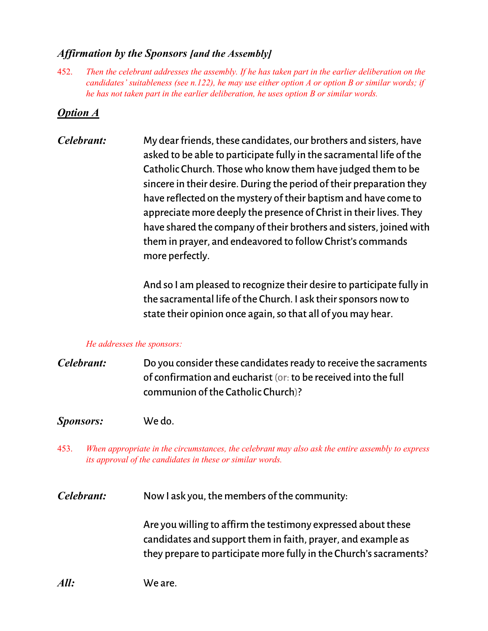#### *Affirmation by the Sponsors [and the Assembly]*

452. *Then the celebrant addresses the assembly. If he has taken part in the earlier deliberation on the candidates' suitableness (see n.122), he may use either option A or option B or similar words; if he has not taken part in the earlier deliberation, he uses option B or similar words.*

## *Option A*

*Celebrant:* My dear friends, these candidates, our brothers and sisters, have asked to be able to participate fully in the sacramental life of the Catholic Church. Those who know them have judged them to be sincere in their desire. During the period of their preparation they have reflected on the mystery of their baptism and have come to appreciate more deeply the presence of Christ in their lives. They have shared the company of their brothers and sisters, joined with them in prayer, and endeavored to follow Christ's commands more perfectly.

> And so I am pleased to recognize their desire to participate fully in the sacramental life of the Church. I ask their sponsors now to state their opinion once again, so that all of you may hear.

#### *He addresses the sponsors:*

*Celebrant:* Do you consider these candidates ready to receive the sacraments of confirmation and eucharist (or:to be received into the full communion of the Catholic Church)?

## *Sponsors:* We do.

453. *When appropriate in the circumstances, the celebrant may also ask the entire assembly to express its approval of the candidates in these or similar words.*

*Celebrant:* Now I ask you, the members of the community:

Are you willing to affirm the testimony expressed about these candidates and support them in faith, prayer, and example as they prepare to participate more fully in the Church's sacraments?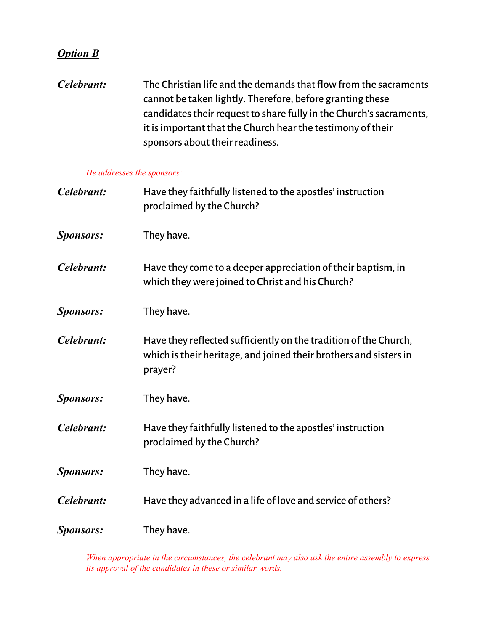## *Option B*

*Celebrant:* The Christian life and the demands that flow from the sacraments cannot be taken lightly. Therefore, before granting these candidates their request to share fully in the Church's sacraments, it is important that the Church hear the testimony of their sponsors about their readiness.

#### *He addresses the sponsors:*

| Celebrant:       | Have they faithfully listened to the apostles' instruction<br>proclaimed by the Church?                                                          |
|------------------|--------------------------------------------------------------------------------------------------------------------------------------------------|
| <b>Sponsors:</b> | They have.                                                                                                                                       |
| Celebrant:       | Have they come to a deeper appreciation of their baptism, in<br>which they were joined to Christ and his Church?                                 |
| <b>Sponsors:</b> | They have.                                                                                                                                       |
| Celebrant:       | Have they reflected sufficiently on the tradition of the Church,<br>which is their heritage, and joined their brothers and sisters in<br>prayer? |
| <b>Sponsors:</b> | They have.                                                                                                                                       |
| Celebrant:       | Have they faithfully listened to the apostles' instruction<br>proclaimed by the Church?                                                          |
| <b>Sponsors:</b> | They have.                                                                                                                                       |
| Celebrant:       | Have they advanced in a life of love and service of others?                                                                                      |
| <b>Sponsors:</b> | They have.                                                                                                                                       |

*When appropriate in the circumstances, the celebrant may also ask the entire assembly to express its approval of the candidates in these or similar words.*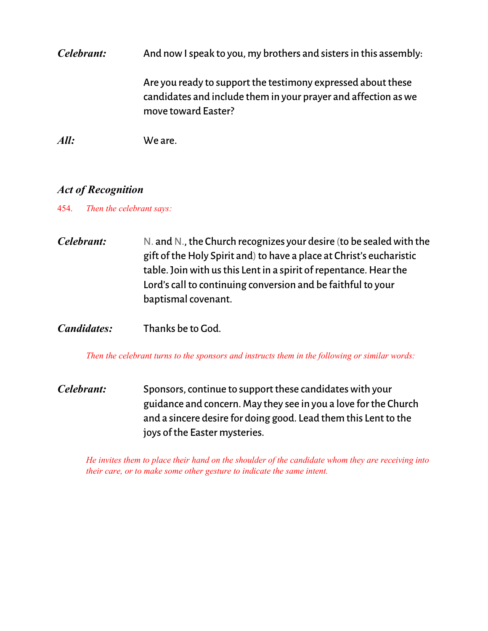| Celebrant: | And now I speak to you, my brothers and sisters in this assembly:                                                                                     |  |  |  |
|------------|-------------------------------------------------------------------------------------------------------------------------------------------------------|--|--|--|
|            | Are you ready to support the testimony expressed about these<br>candidates and include them in your prayer and affection as we<br>move toward Easter? |  |  |  |
| All:       | We are.                                                                                                                                               |  |  |  |

## *Act of Recognition*

454. *Then the celebrant says:*

*Celebrant:* N. and N., the Church recognizes your desire (to be sealed with the gift of the Holy Spirit and) to have a place at Christ's eucharistic table. Join with us this Lent in a spirit of repentance. Hear the Lord's call to continuing conversion and be faithful to your baptismal covenant.

*Candidates:* Thanks be to God.

*Then the celebrant turns to the sponsors and instructs them in the following or similar words:*

*Celebrant:* Sponsors, continue to support these candidates with your guidance and concern. May they see in you a love for the Church and a sincere desire for doing good. Lead them this Lent to the joys of the Easter mysteries.

*He invites them to place their hand on the shoulder of the candidate whom they are receiving into their care, or to make some other gesture to indicate the same intent.*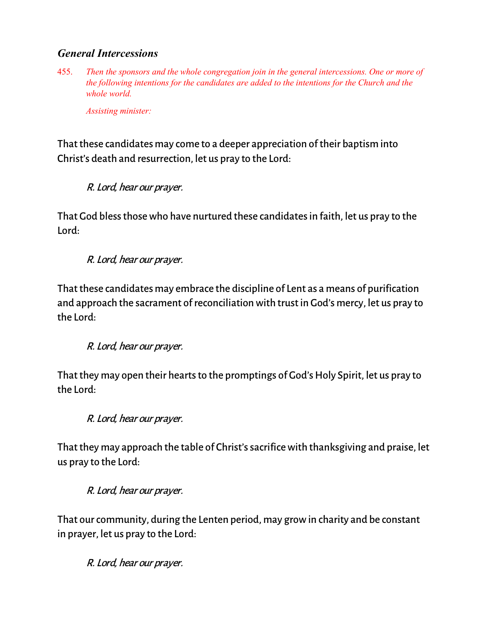## *General Intercessions*

455. *Then the sponsors and the whole congregation join in the general intercessions. One or more of the following intentions for the candidates are added to the intentions for the Church and the whole world.*

*Assisting minister:*

That these candidates may come to a deeper appreciation of their baptism into Christ's death and resurrection, let us pray to the Lord:

## R. Lord, hear our prayer.

That God bless those who have nurtured these candidates in faith, let us pray to the Lord:

## R. Lord, hear our prayer.

That these candidates may embrace the discipline of Lent as a means of purification and approach the sacrament of reconciliation with trust in God's mercy, let us pray to the Lord:

R. Lord, hear our prayer.

That they may open their hearts to the promptings of God's Holy Spirit, let us pray to the Lord:

## R. Lord, hear our prayer.

That they may approach the table of Christ's sacrifice with thanksgiving and praise, let us pray to the Lord:

## R. Lord, hear our prayer.

That our community, during the Lenten period, may grow in charity and be constant in prayer, let us pray to the Lord:

R. Lord, hear our prayer.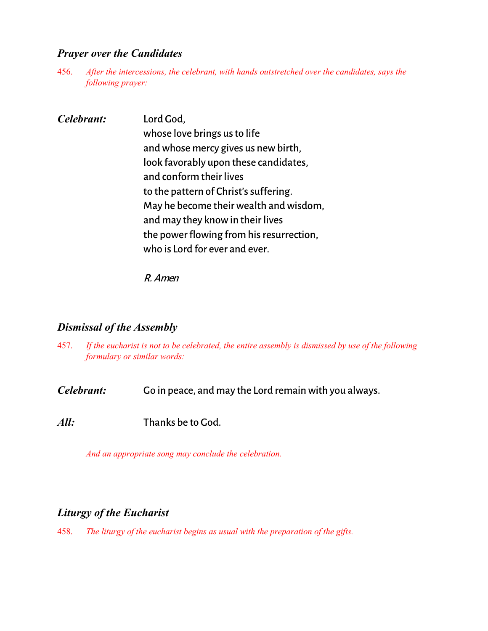#### *Prayer over the Candidates*

456. *After the intercessions, the celebrant, with hands outstretched over the candidates, says the following prayer:*

## *Celebrant:* Lord God, whose love brings us to life and whose mercy gives us new birth, look favorably upon these candidates, and conform their lives to the pattern of Christ's suffering. May he become their wealth and wisdom, and may they know in their lives the power flowing from his resurrection, who is Lord for ever and ever.

#### R. Amen

#### *Dismissal of the Assembly*

- 457. *If the eucharist is not to be celebrated, the entire assembly is dismissed by use of the following formulary or similar words:*
- *Celebrant:* Go in peace, and may the Lord remain with you always.
- *All:* Thanks be to God.

*And an appropriate song may conclude the celebration.*

## *Liturgy of the Eucharist*

458. *The liturgy of the eucharist begins as usual with the preparation of the gifts.*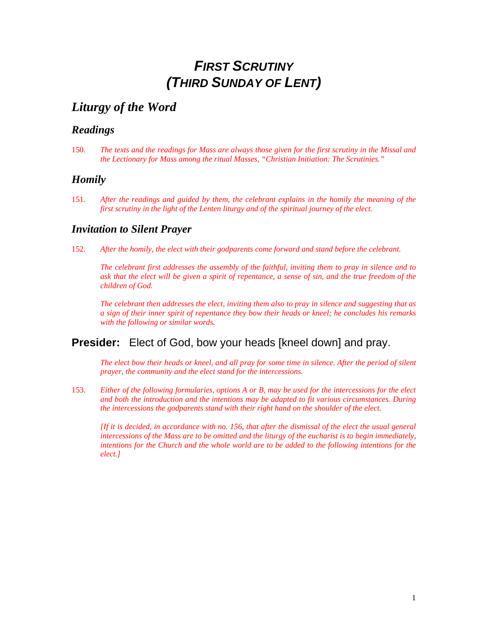# *FIRST SCRUTINY (THIRD SUNDAY OF LENT)*

## *Liturgy of the Word*

#### *Readings*

150. *The texts and the readings for Mass are always those given for the first scrutiny in the Missal and the Lectionary for Mass among the ritual Masses, "Christian Initiation: The Scrutinies."* 

#### *Homily*

151. *After the readings and guided by them, the celebrant explains in the homily the meaning of the first scrutiny in the light of the Lenten liturgy and of the spiritual journey of the elect.* 

#### *Invitation to Silent Prayer*

152. *After the homily, the elect with their godparents come forward and stand before the celebrant.* 

*The celebrant first addresses the assembly of the faithful, inviting them to pray in silence and to ask that the elect will be given a spirit of repentance, a sense of sin, and the true freedom of the children of God.* 

*The celebrant then addresses the elect, inviting them also to pray in silence and suggesting that as a sign of their inner spirit of repentance they bow their heads or kneel; he concludes his remarks with the following or similar words.* 

## **Presider:** Elect of God, bow your heads [kneel down] and pray.

*The elect bow their heads or kneel, and all pray for some time in silence. After the period of silent prayer, the community and the elect stand for the intercessions.* 

153. *Either of the following formularies, options A or B, may be used for the intercessions for the elect and both the introduction and the intentions may be adapted to fit various circumstances. During the intercessions the godparents stand with their right hand on the shoulder of the elect.* 

*[If it is decided, in accordance with no. 156, that after the dismissal of the elect the usual general intercessions of the Mass are to be omitted and the liturgy of the eucharist is to begin immediately, intentions for the Church and the whole world are to be added to the following intentions for the elect.]*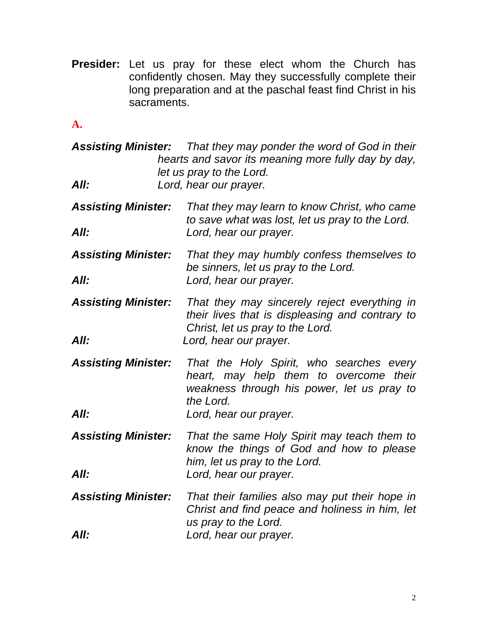**Presider:** Let us pray for these elect whom the Church has confidently chosen. May they successfully complete their long preparation and at the paschal feast find Christ in his sacraments.

## **A.**

*Assisting Minister: That they may ponder the word of God in their hearts and savor its meaning more fully day by day, let us pray to the Lord.* 

*All: Lord, hear our prayer.* 

*Assisting Minister: That they may learn to know Christ, who came to save what was lost, let us pray to the Lord. All: Lord, hear our prayer.* 

*Assisting Minister: That they may humbly confess themselves to be sinners, let us pray to the Lord. All: Lord, hear our prayer.* 

- *Assisting Minister: That they may sincerely reject everything in their lives that is displeasing and contrary to Christ, let us pray to the Lord. All: Lord, hear our prayer.*
- *Assisting Minister: That the Holy Spirit, who searches every heart, may help them to overcome their weakness through his power, let us pray to the Lord. All: Lord, hear our prayer.*

*Assisting Minister: That the same Holy Spirit may teach them to know the things of God and how to please him, let us pray to the Lord. All: Lord, hear our prayer.* 

*Assisting Minister: That their families also may put their hope in Christ and find peace and holiness in him, let us pray to the Lord. All: Lord, hear our prayer.*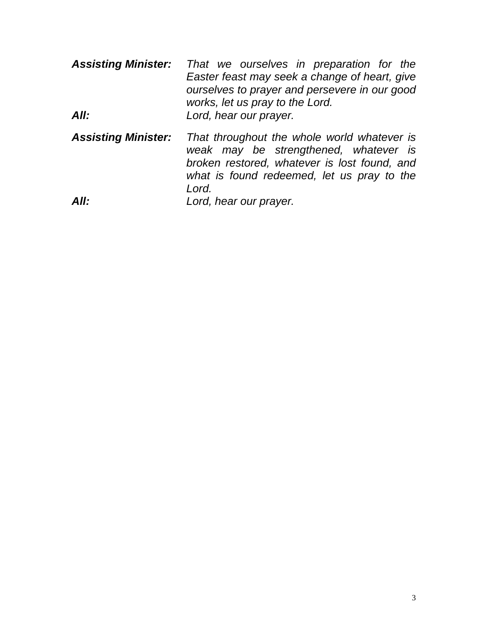| <b>Assisting Minister:</b> That we ourselves in preparation for the |  |                                 |                                               |  |
|---------------------------------------------------------------------|--|---------------------------------|-----------------------------------------------|--|
|                                                                     |  |                                 | Easter feast may seek a change of heart, give |  |
|                                                                     |  |                                 | ourselves to prayer and persevere in our good |  |
|                                                                     |  | works, let us pray to the Lord. |                                               |  |
| All:                                                                |  | Lord, hear our prayer.          |                                               |  |

*Assisting Minister: That throughout the whole world whatever is weak may be strengthened, whatever is broken restored, whatever is lost found, and what is found redeemed, let us pray to the Lord. All: Lord, hear our prayer.*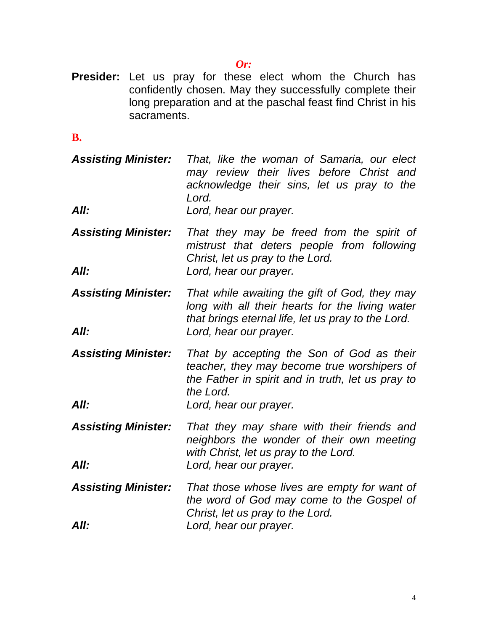#### *Or:*

**Presider:** Let us pray for these elect whom the Church has confidently chosen. May they successfully complete their long preparation and at the paschal feast find Christ in his sacraments.

#### **B.**

- *Assisting Minister: That, like the woman of Samaria, our elect may review their lives before Christ and acknowledge their sins, let us pray to the Lord.*
- *All: Lord, hear our prayer.*
- *Assisting Minister: That they may be freed from the spirit of mistrust that deters people from following Christ, let us pray to the Lord. All: Lord, hear our prayer.*
- *Assisting Minister: That while awaiting the gift of God, they may long with all their hearts for the living water that brings eternal life, let us pray to the Lord. All: Lord, hear our prayer.*
- *Assisting Minister: That by accepting the Son of God as their teacher, they may become true worshipers of the Father in spirit and in truth, let us pray to the Lord. All: Lord, hear our prayer.*
- *Assisting Minister: That they may share with their friends and*
- *neighbors the wonder of their own meeting with Christ, let us pray to the Lord. All: Lord, hear our prayer.*
- *Assisting Minister: That those whose lives are empty for want of the word of God may come to the Gospel of Christ, let us pray to the Lord. All: Lord, hear our prayer.*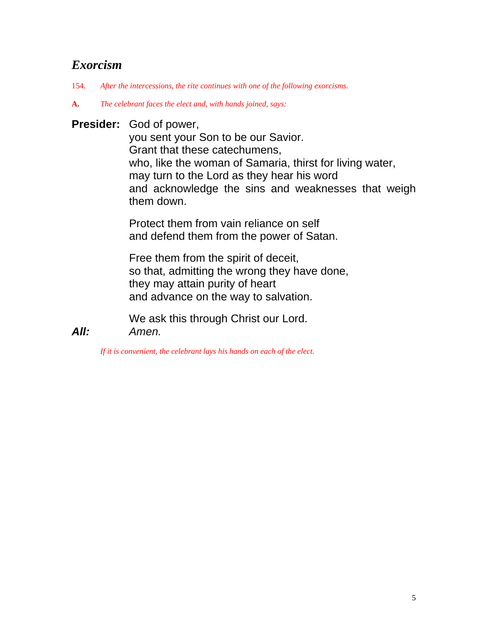## *Exorcism*

- 154. *After the intercessions, the rite continues with one of the following exorcisms.*
- **A.** *The celebrant faces the elect and, with hands joined, says:*

## **Presider:** God of power,

you sent your Son to be our Savior. Grant that these catechumens, who, like the woman of Samaria, thirst for living water, may turn to the Lord as they hear his word and acknowledge the sins and weaknesses that weigh them down.

Protect them from vain reliance on self and defend them from the power of Satan.

Free them from the spirit of deceit, so that, admitting the wrong they have done, they may attain purity of heart and advance on the way to salvation.

We ask this through Christ our Lord. *All: Amen.* 

*If it is convenient, the celebrant lays his hands on each of the elect.*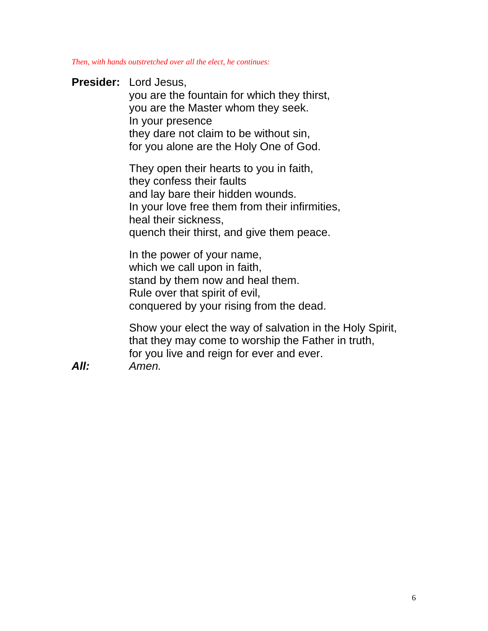*Then, with hands outstretched over all the elect, he continues:*

#### **Presider:** Lord Jesus,

you are the fountain for which they thirst, you are the Master whom they seek. In your presence they dare not claim to be without sin, for you alone are the Holy One of God.

They open their hearts to you in faith, they confess their faults and lay bare their hidden wounds. In your love free them from their infirmities, heal their sickness, quench their thirst, and give them peace.

In the power of your name, which we call upon in faith, stand by them now and heal them. Rule over that spirit of evil, conquered by your rising from the dead.

Show your elect the way of salvation in the Holy Spirit, that they may come to worship the Father in truth, for you live and reign for ever and ever. *All: Amen.*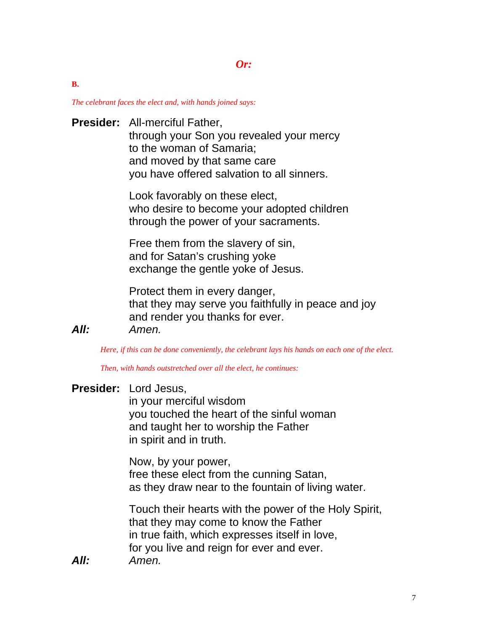#### *Or:*

#### **B.**

*The celebrant faces the elect and, with hands joined says:* 

**Presider:** All-merciful Father, through your Son you revealed your mercy to the woman of Samaria; and moved by that same care you have offered salvation to all sinners.

> Look favorably on these elect, who desire to become your adopted children through the power of your sacraments.

Free them from the slavery of sin, and for Satan's crushing yoke exchange the gentle yoke of Jesus.

Protect them in every danger, that they may serve you faithfully in peace and joy and render you thanks for ever.

#### *All: Amen.*

*Here, if this can be done conveniently, the celebrant lays his hands on each one of the elect.*

*Then, with hands outstretched over all the elect, he continues:*

#### **Presider:** Lord Jesus,

in your merciful wisdom you touched the heart of the sinful woman and taught her to worship the Father in spirit and in truth.

Now, by your power, free these elect from the cunning Satan, as they draw near to the fountain of living water.

Touch their hearts with the power of the Holy Spirit, that they may come to know the Father in true faith, which expresses itself in love, for you live and reign for ever and ever. *All: Amen.*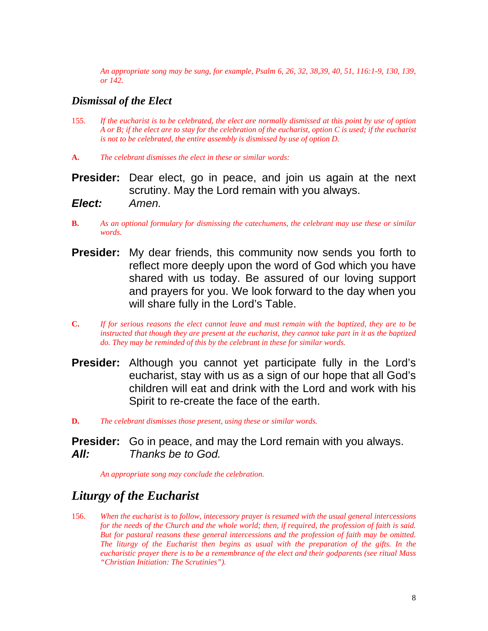*An appropriate song may be sung, for example, Psalm 6, 26, 32, 38,39, 40, 51, 116:1-9, 130, 139, or 142.* 

#### *Dismissal of the Elect*

- 155. *If the eucharist is to be celebrated, the elect are normally dismissed at this point by use of option A or B; if the elect are to stay for the celebration of the eucharist, option C is used; if the eucharist is not to be celebrated, the entire assembly is dismissed by use of option D.*
- **A.** *The celebrant dismisses the elect in these or similar words:*
- **Presider:** Dear elect, go in peace, and join us again at the next scrutiny. May the Lord remain with you always.

#### *Elect: Amen.*

- **B.** *As an optional formulary for dismissing the catechumens, the celebrant may use these or similar words.*
- **Presider:** My dear friends, this community now sends you forth to reflect more deeply upon the word of God which you have shared with us today. Be assured of our loving support and prayers for you. We look forward to the day when you will share fully in the Lord's Table.
- **C.** *If for serious reasons the elect cannot leave and must remain with the baptized, they are to be instructed that though they are present at the eucharist, they cannot take part in it as the baptized do. They may be reminded of this by the celebrant in these for similar words.*
- **Presider:** Although you cannot yet participate fully in the Lord's eucharist, stay with us as a sign of our hope that all God's children will eat and drink with the Lord and work with his Spirit to re-create the face of the earth.
- **D.** *The celebrant dismisses those present, using these or similar words.*

#### **Presider:** Go in peace, and may the Lord remain with you always. *All: Thanks be to God.*

*An appropriate song may conclude the celebration.* 

## *Liturgy of the Eucharist*

156. *When the eucharist is to follow, intecessory prayer is resumed with the usual general intercessions for the needs of the Church and the whole world; then, if required, the profession of faith is said. But for pastoral reasons these general intercessions and the profession of faith may be omitted. The liturgy of the Eucharist then begins as usual with the preparation of the gifts. In the eucharistic prayer there is to be a remembrance of the elect and their godparents (see ritual Mass "Christian Initiation: The Scrutinies").*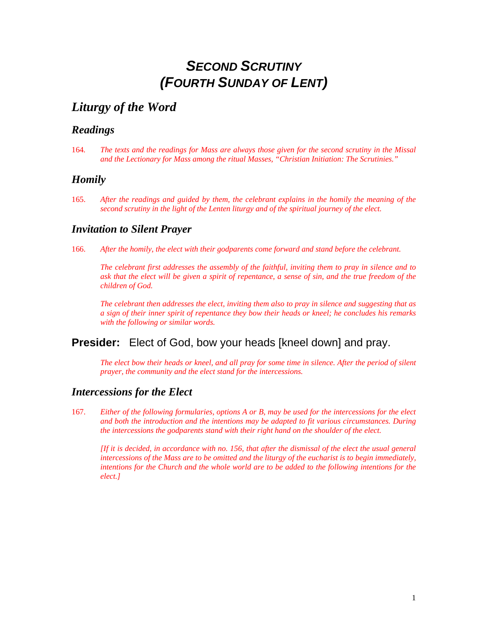# *SECOND SCRUTINY (FOURTH SUNDAY OF LENT)*

## *Liturgy of the Word*

#### *Readings*

164. The texts and the readings for Mass are always those given for the second scrutiny in the Missal *and the Lectionary for Mass among the ritual Masses, "Christian Initiation: The Scrutinies."* 

#### *Homily*

165. *After the readings and guided by them, the celebrant explains in the homily the meaning of the second scrutiny in the light of the Lenten liturgy and of the spiritual journey of the elect.* 

#### *Invitation to Silent Prayer*

166. *After the homily, the elect with their godparents come forward and stand before the celebrant.* 

*The celebrant first addresses the assembly of the faithful, inviting them to pray in silence and to ask that the elect will be given a spirit of repentance, a sense of sin, and the true freedom of the children of God.* 

*The celebrant then addresses the elect, inviting them also to pray in silence and suggesting that as a sign of their inner spirit of repentance they bow their heads or kneel; he concludes his remarks with the following or similar words.* 

## **Presider:** Elect of God, bow your heads [kneel down] and pray.

*The elect bow their heads or kneel, and all pray for some time in silence. After the period of silent prayer, the community and the elect stand for the intercessions.* 

#### *Intercessions for the Elect*

167. *Either of the following formularies, options A or B, may be used for the intercessions for the elect and both the introduction and the intentions may be adapted to fit various circumstances. During the intercessions the godparents stand with their right hand on the shoulder of the elect.* 

*[If it is decided, in accordance with no. 156, that after the dismissal of the elect the usual general intercessions of the Mass are to be omitted and the liturgy of the eucharist is to begin immediately, intentions for the Church and the whole world are to be added to the following intentions for the elect.]*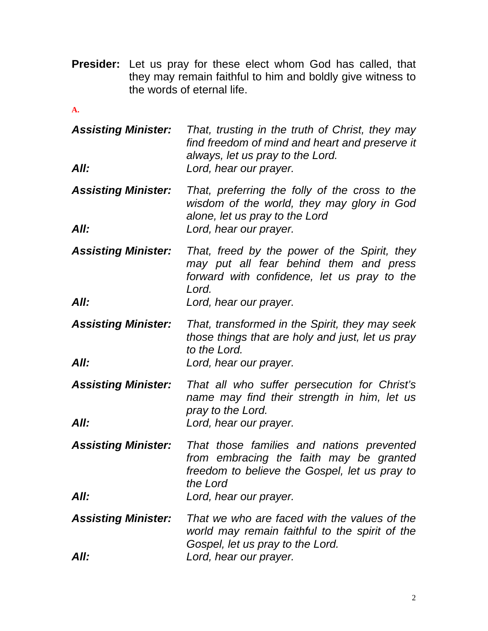**Presider:** Let us pray for these elect whom God has called, that they may remain faithful to him and boldly give witness to the words of eternal life.

#### **A.**

- *Assisting Minister: That, trusting in the truth of Christ, they may find freedom of mind and heart and preserve it always, let us pray to the Lord. All: Lord, hear our prayer.*
- *Assisting Minister: That, preferring the folly of the cross to the wisdom of the world, they may glory in God alone, let us pray to the Lord All: Lord, hear our prayer.*
- *Assisting Minister: That, freed by the power of the Spirit, they may put all fear behind them and press forward with confidence, let us pray to the Lord. All: Lord, hear our prayer.*
- *Assisting Minister: That, transformed in the Spirit, they may seek those things that are holy and just, let us pray to the Lord. All: Lord, hear our prayer.*
- *Assisting Minister: That all who suffer persecution for Christ's name may find their strength in him, let us pray to the Lord. All: Lord, hear our prayer.*
- *Assisting Minister: That those families and nations prevented from embracing the faith may be granted freedom to believe the Gospel, let us pray to the Lord All: Lord, hear our prayer.*
- *Assisting Minister: That we who are faced with the values of the world may remain faithful to the spirit of the Gospel, let us pray to the Lord. All: Lord, hear our prayer.*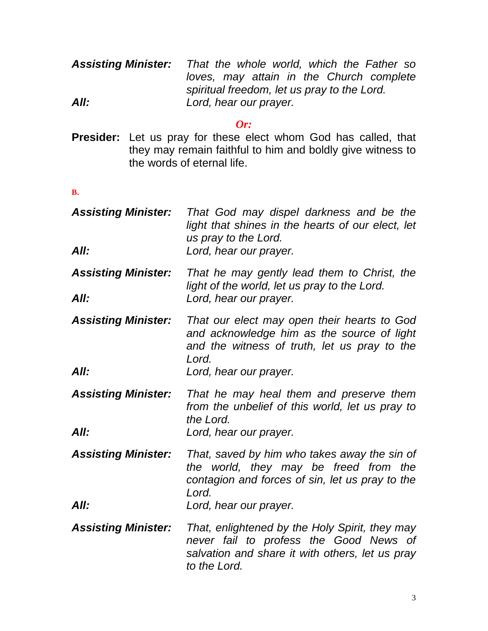|      | <b>Assisting Minister:</b> That the whole world, which the Father so |
|------|----------------------------------------------------------------------|
|      | loves, may attain in the Church complete                             |
|      | spiritual freedom, let us pray to the Lord.                          |
| All: | Lord, hear our prayer.                                               |

*Or:* 

**Presider:** Let us pray for these elect whom God has called, that they may remain faithful to him and boldly give witness to the words of eternal life.

**B.** 

| <b>Assisting Minister:</b><br>All: | That God may dispel darkness and be the<br>light that shines in the hearts of our elect, let<br>us pray to the Lord.<br>Lord, hear our prayer.                               |
|------------------------------------|------------------------------------------------------------------------------------------------------------------------------------------------------------------------------|
| <b>Assisting Minister:</b><br>All: | That he may gently lead them to Christ, the<br>light of the world, let us pray to the Lord.<br>Lord, hear our prayer.                                                        |
| <b>Assisting Minister:</b><br>All: | That our elect may open their hearts to God<br>and acknowledge him as the source of light<br>and the witness of truth, let us pray to the<br>Lord.<br>Lord, hear our prayer. |
| <b>Assisting Minister:</b><br>All: | That he may heal them and preserve them<br>from the unbelief of this world, let us pray to<br>the Lord.<br>Lord, hear our prayer.                                            |
| <b>Assisting Minister:</b><br>All: | That, saved by him who takes away the sin of<br>the world, they may be freed from the<br>contagion and forces of sin, let us pray to the<br>Lord.<br>Lord, hear our prayer.  |
| <b>Assisting Minister:</b>         | That, enlightened by the Holy Spirit, they may<br>never fail to profess the Good News of<br>salvation and share it with others, let us pray<br>to the Lord.                  |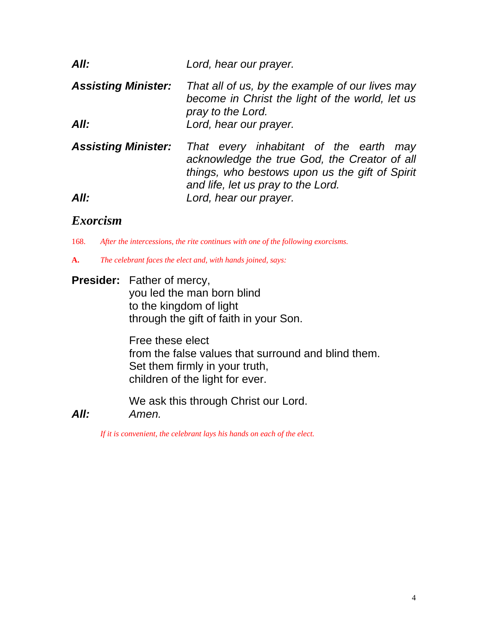| All:                               | Lord, hear our prayer.                                                                                                                                                         |
|------------------------------------|--------------------------------------------------------------------------------------------------------------------------------------------------------------------------------|
| <b>Assisting Minister:</b><br>All: | That all of us, by the example of our lives may<br>become in Christ the light of the world, let us<br>pray to the Lord.<br>Lord, hear our prayer.                              |
| <b>Assisting Minister:</b>         | That every inhabitant of the earth may<br>acknowledge the true God, the Creator of all<br>things, who bestows upon us the gift of Spirit<br>and life, let us pray to the Lord. |
| All:                               | Lord, hear our prayer.                                                                                                                                                         |

## *Exorcism*

- 168. *After the intercessions, the rite continues with one of the following exorcisms.*
- **A.** *The celebrant faces the elect and, with hands joined, says:*
- **Presider:** Father of mercy, you led the man born blind to the kingdom of light through the gift of faith in your Son.

Free these elect from the false values that surround and blind them. Set them firmly in your truth, children of the light for ever.

We ask this through Christ our Lord. *All: Amen.* 

*If it is convenient, the celebrant lays his hands on each of the elect.*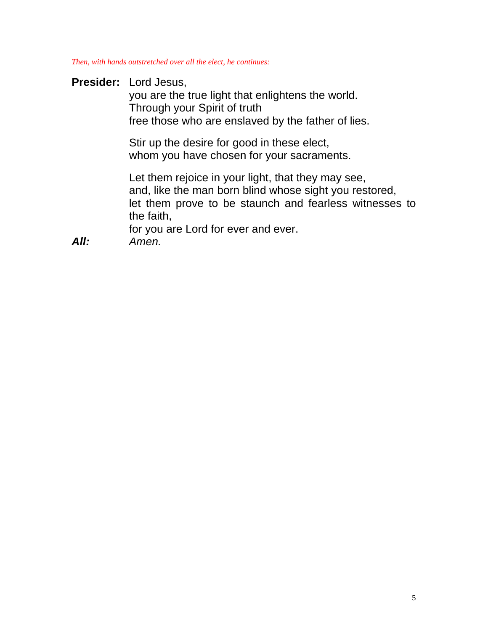*Then, with hands outstretched over all the elect, he continues:*

## **Presider:** Lord Jesus,

you are the true light that enlightens the world. Through your Spirit of truth free those who are enslaved by the father of lies.

Stir up the desire for good in these elect, whom you have chosen for your sacraments.

Let them rejoice in your light, that they may see, and, like the man born blind whose sight you restored, let them prove to be staunch and fearless witnesses to the faith,

for you are Lord for ever and ever.

*All: Amen.*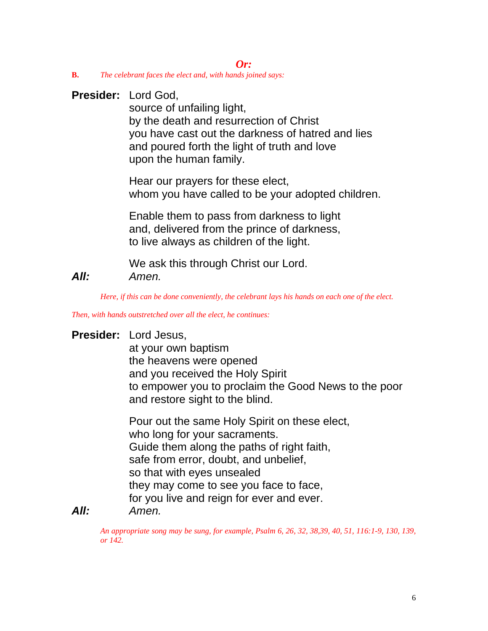#### *Or:*

**B.** *The celebrant faces the elect and, with hands joined says:* 

## **Presider:** Lord God,

source of unfailing light, by the death and resurrection of Christ you have cast out the darkness of hatred and lies and poured forth the light of truth and love upon the human family.

Hear our prayers for these elect, whom you have called to be your adopted children.

Enable them to pass from darkness to light and, delivered from the prince of darkness, to live always as children of the light.

We ask this through Christ our Lord.

## *All: Amen.*

*Here, if this can be done conveniently, the celebrant lays his hands on each one of the elect.*

*Then, with hands outstretched over all the elect, he continues:*

## **Presider:** Lord Jesus,

at your own baptism the heavens were opened and you received the Holy Spirit to empower you to proclaim the Good News to the poor and restore sight to the blind.

Pour out the same Holy Spirit on these elect, who long for your sacraments. Guide them along the paths of right faith, safe from error, doubt, and unbelief, so that with eyes unsealed they may come to see you face to face, for you live and reign for ever and ever.

*All: Amen.* 

*An appropriate song may be sung, for example, Psalm 6, 26, 32, 38,39, 40, 51, 116:1-9, 130, 139, or 142.*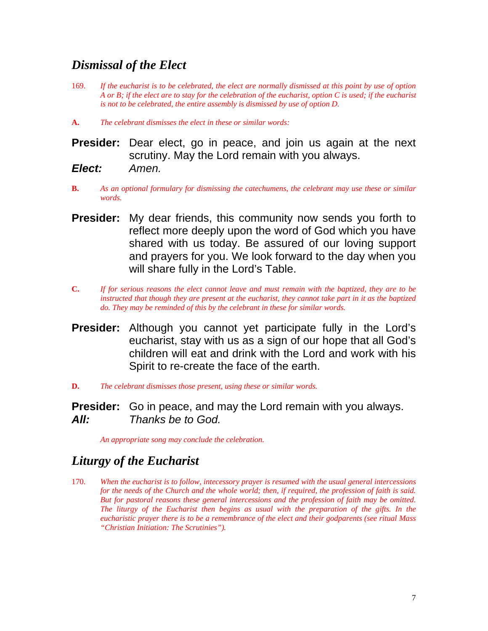## *Dismissal of the Elect*

- 169. *If the eucharist is to be celebrated, the elect are normally dismissed at this point by use of option A or B; if the elect are to stay for the celebration of the eucharist, option C is used; if the eucharist is not to be celebrated, the entire assembly is dismissed by use of option D.*
- **A.** *The celebrant dismisses the elect in these or similar words:*

**Presider:** Dear elect, go in peace, and join us again at the next scrutiny. May the Lord remain with you always.

*Elect: Amen.* 

- **B.** *As an optional formulary for dismissing the catechumens, the celebrant may use these or similar words.*
- **Presider:** My dear friends, this community now sends you forth to reflect more deeply upon the word of God which you have shared with us today. Be assured of our loving support and prayers for you. We look forward to the day when you will share fully in the Lord's Table.
- **C.** *If for serious reasons the elect cannot leave and must remain with the baptized, they are to be instructed that though they are present at the eucharist, they cannot take part in it as the baptized do. They may be reminded of this by the celebrant in these for similar words.*
- **Presider:** Although you cannot yet participate fully in the Lord's eucharist, stay with us as a sign of our hope that all God's children will eat and drink with the Lord and work with his Spirit to re-create the face of the earth.
- **D.** *The celebrant dismisses those present, using these or similar words.*
- **Presider:** Go in peace, and may the Lord remain with you always. *All: Thanks be to God.*

*An appropriate song may conclude the celebration.* 

## *Liturgy of the Eucharist*

170. *When the eucharist is to follow, intecessory prayer is resumed with the usual general intercessions for the needs of the Church and the whole world; then, if required, the profession of faith is said. But for pastoral reasons these general intercessions and the profession of faith may be omitted. The liturgy of the Eucharist then begins as usual with the preparation of the gifts. In the eucharistic prayer there is to be a remembrance of the elect and their godparents (see ritual Mass "Christian Initiation: The Scrutinies").*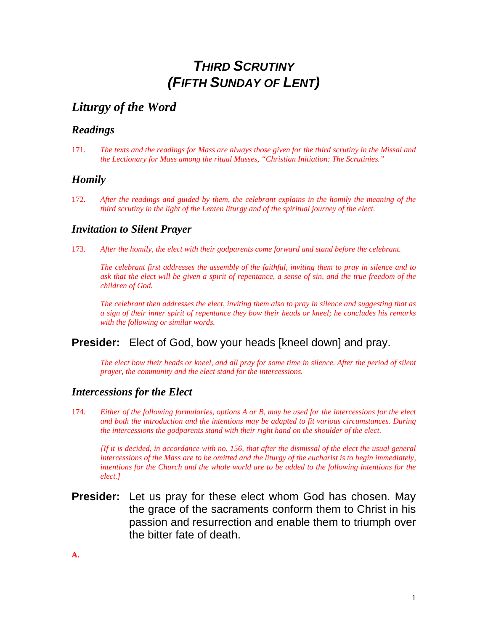# *THIRD SCRUTINY (FIFTH SUNDAY OF LENT)*

## *Liturgy of the Word*

#### *Readings*

171. *The texts and the readings for Mass are always those given for the third scrutiny in the Missal and the Lectionary for Mass among the ritual Masses, "Christian Initiation: The Scrutinies."* 

#### *Homily*

172. *After the readings and guided by them, the celebrant explains in the homily the meaning of the third scrutiny in the light of the Lenten liturgy and of the spiritual journey of the elect.* 

#### *Invitation to Silent Prayer*

173. *After the homily, the elect with their godparents come forward and stand before the celebrant.* 

*The celebrant first addresses the assembly of the faithful, inviting them to pray in silence and to ask that the elect will be given a spirit of repentance, a sense of sin, and the true freedom of the children of God.* 

*The celebrant then addresses the elect, inviting them also to pray in silence and suggesting that as a sign of their inner spirit of repentance they bow their heads or kneel; he concludes his remarks with the following or similar words.* 

## **Presider:** Elect of God, bow your heads [kneel down] and pray.

*The elect bow their heads or kneel, and all pray for some time in silence. After the period of silent prayer, the community and the elect stand for the intercessions.* 

#### *Intercessions for the Elect*

174. *Either of the following formularies, options A or B, may be used for the intercessions for the elect and both the introduction and the intentions may be adapted to fit various circumstances. During the intercessions the godparents stand with their right hand on the shoulder of the elect.* 

*[If it is decided, in accordance with no. 156, that after the dismissal of the elect the usual general intercessions of the Mass are to be omitted and the liturgy of the eucharist is to begin immediately, intentions for the Church and the whole world are to be added to the following intentions for the elect.]*

**Presider:** Let us pray for these elect whom God has chosen. May the grace of the sacraments conform them to Christ in his passion and resurrection and enable them to triumph over the bitter fate of death.

**A.**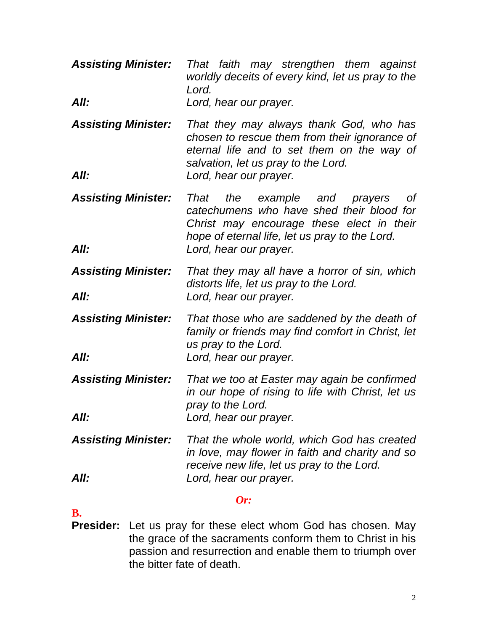- *Assisting Minister: That faith may strengthen them against worldly deceits of every kind, let us pray to the Lord. All: Lord, hear our prayer.*
- *Assisting Minister: That they may always thank God, who has chosen to rescue them from their ignorance of eternal life and to set them on the way of salvation, let us pray to the Lord. All: Lord, hear our prayer.*
- *Assisting Minister: That the example and prayers of catechumens who have shed their blood for Christ may encourage these elect in their hope of eternal life, let us pray to the Lord. All: Lord, hear our prayer.*
- *Assisting Minister: That they may all have a horror of sin, which distorts life, let us pray to the Lord. All: Lord, hear our prayer.*
- *Assisting Minister: That those who are saddened by the death of family or friends may find comfort in Christ, let us pray to the Lord. All: Lord, hear our prayer.*
- *Assisting Minister: That we too at Easter may again be confirmed in our hope of rising to life with Christ, let us pray to the Lord. All: Lord, hear our prayer.*
- *Assisting Minister: That the whole world, which God has created in love, may flower in faith and charity and so receive new life, let us pray to the Lord. All: Lord, hear our prayer.*

#### *Or:*

## **B.**

**Presider:** Let us pray for these elect whom God has chosen. May the grace of the sacraments conform them to Christ in his passion and resurrection and enable them to triumph over the bitter fate of death.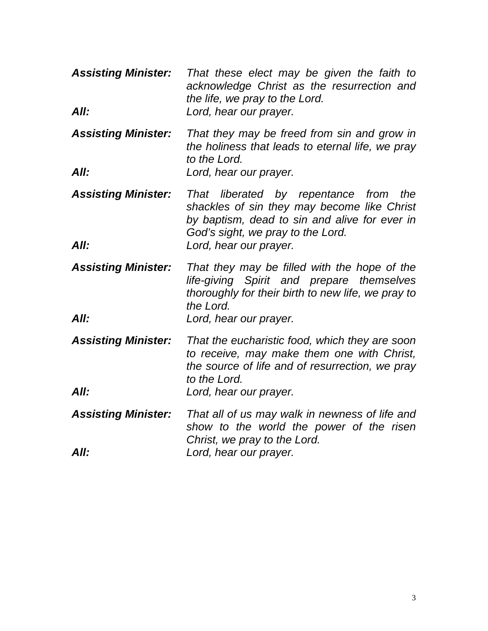- *Assisting Minister: That these elect may be given the faith to acknowledge Christ as the resurrection and the life, we pray to the Lord. All: Lord, hear our prayer.*
- *Assisting Minister: That they may be freed from sin and grow in the holiness that leads to eternal life, we pray to the Lord. All: Lord, hear our prayer.*
- *Assisting Minister: That liberated by repentance from the shackles of sin they may become like Christ by baptism, dead to sin and alive for ever in God's sight, we pray to the Lord. All: Lord, hear our prayer.*
- *Assisting Minister: That they may be filled with the hope of the life-giving Spirit and prepare themselves thoroughly for their birth to new life, we pray to the Lord.*

*All: Lord, hear our prayer.* 

- *Assisting Minister: That the eucharistic food, which they are soon to receive, may make them one with Christ, the source of life and of resurrection, we pray to the Lord. All: Lord, hear our prayer.*
- *Assisting Minister: That all of us may walk in newness of life and show to the world the power of the risen Christ, we pray to the Lord. All: Lord, hear our prayer.*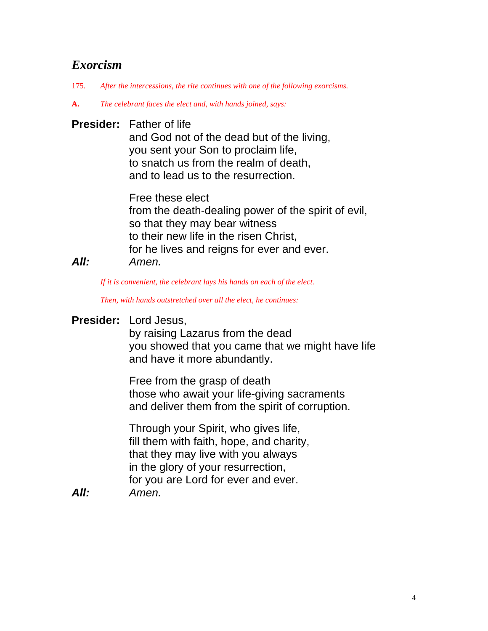## *Exorcism*

- 175. *After the intercessions, the rite continues with one of the following exorcisms.*
- **A.** *The celebrant faces the elect and, with hands joined, says:*

## **Presider:** Father of life

and God not of the dead but of the living, you sent your Son to proclaim life, to snatch us from the realm of death, and to lead us to the resurrection.

Free these elect from the death-dealing power of the spirit of evil, so that they may bear witness to their new life in the risen Christ, for he lives and reigns for ever and ever.

## *All: Amen.*

*If it is convenient, the celebrant lays his hands on each of the elect.* 

*Then, with hands outstretched over all the elect, he continues:*

## **Presider:** Lord Jesus,

by raising Lazarus from the dead you showed that you came that we might have life and have it more abundantly.

Free from the grasp of death those who await your life-giving sacraments and deliver them from the spirit of corruption.

Through your Spirit, who gives life, fill them with faith, hope, and charity, that they may live with you always in the glory of your resurrection, for you are Lord for ever and ever. *All: Amen.*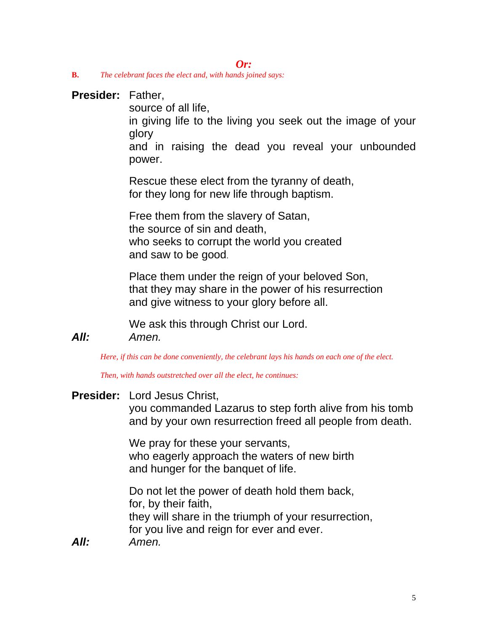*Or:* 

**B.** *The celebrant faces the elect and, with hands joined says:* 

## **Presider:** Father,

source of all life,

in giving life to the living you seek out the image of your glory

and in raising the dead you reveal your unbounded power.

Rescue these elect from the tyranny of death, for they long for new life through baptism.

Free them from the slavery of Satan, the source of sin and death, who seeks to corrupt the world you created and saw to be good.

Place them under the reign of your beloved Son, that they may share in the power of his resurrection and give witness to your glory before all.

We ask this through Christ our Lord.

## *All: Amen.*

*Here, if this can be done conveniently, the celebrant lays his hands on each one of the elect.*

*Then, with hands outstretched over all the elect, he continues:*

### **Presider:** Lord Jesus Christ,

you commanded Lazarus to step forth alive from his tomb and by your own resurrection freed all people from death.

We pray for these your servants, who eagerly approach the waters of new birth and hunger for the banquet of life.

Do not let the power of death hold them back, for, by their faith, they will share in the triumph of your resurrection, for you live and reign for ever and ever.

*All: Amen.*